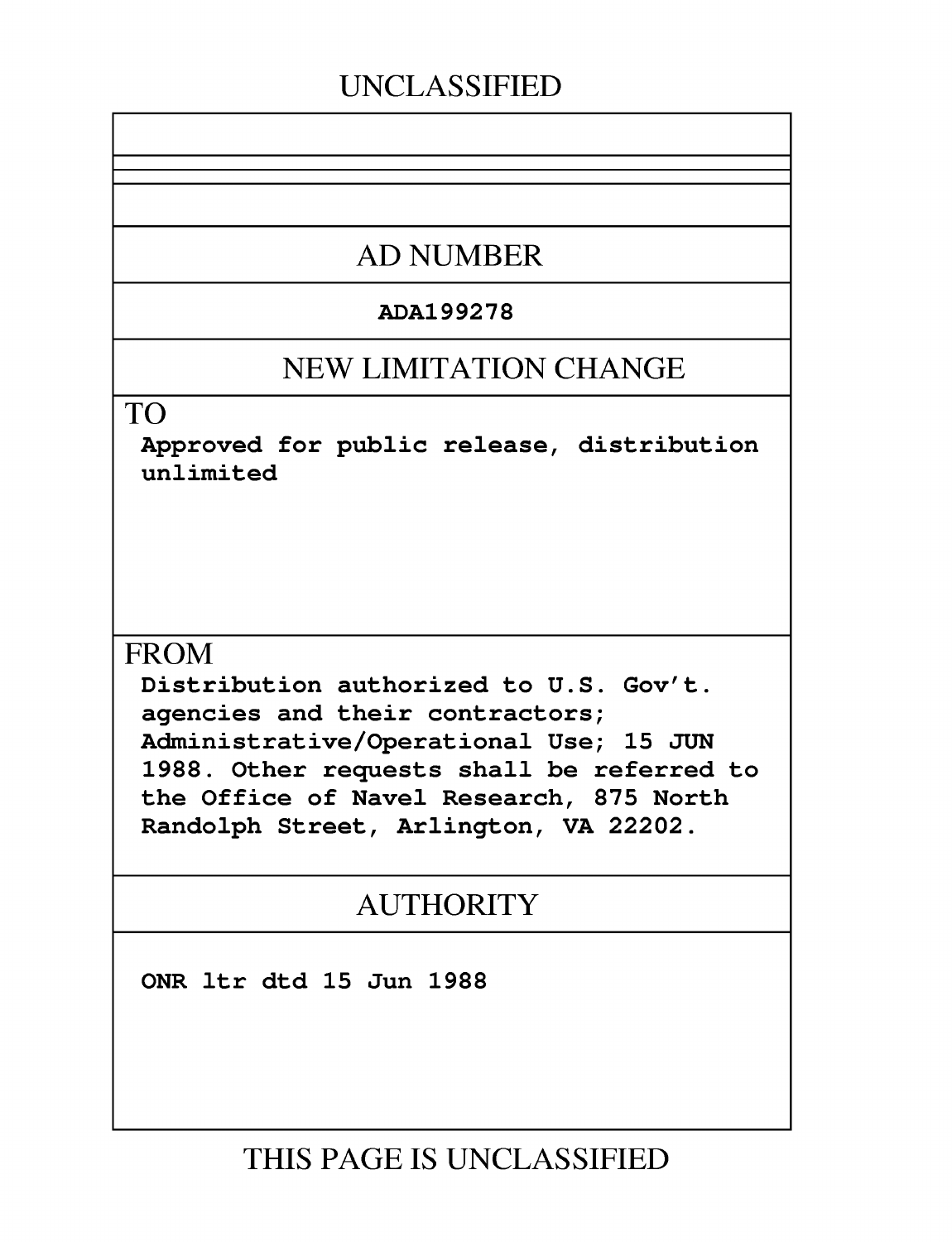## **UNCLASSIFIED**

## **AD NUMBER**

### **ADA199278**

## **NEW LIMITATION CHANGE**

TO

Approved for public release, distribution unlimited

## **FROM**

Distribution authorized to **U.S.** Gov't. agencies and their contractors; Administrative/Operational Use; **15 JUN 1988.** Other requests shall be referred to the Office of Navel Research, **875** North Randolph Street, Arlington, VA 22202.

## AUTHORITY

ONR ltr dtd **15** Jun **1988**

**THIS PAGE IS UNCLASSIFIED**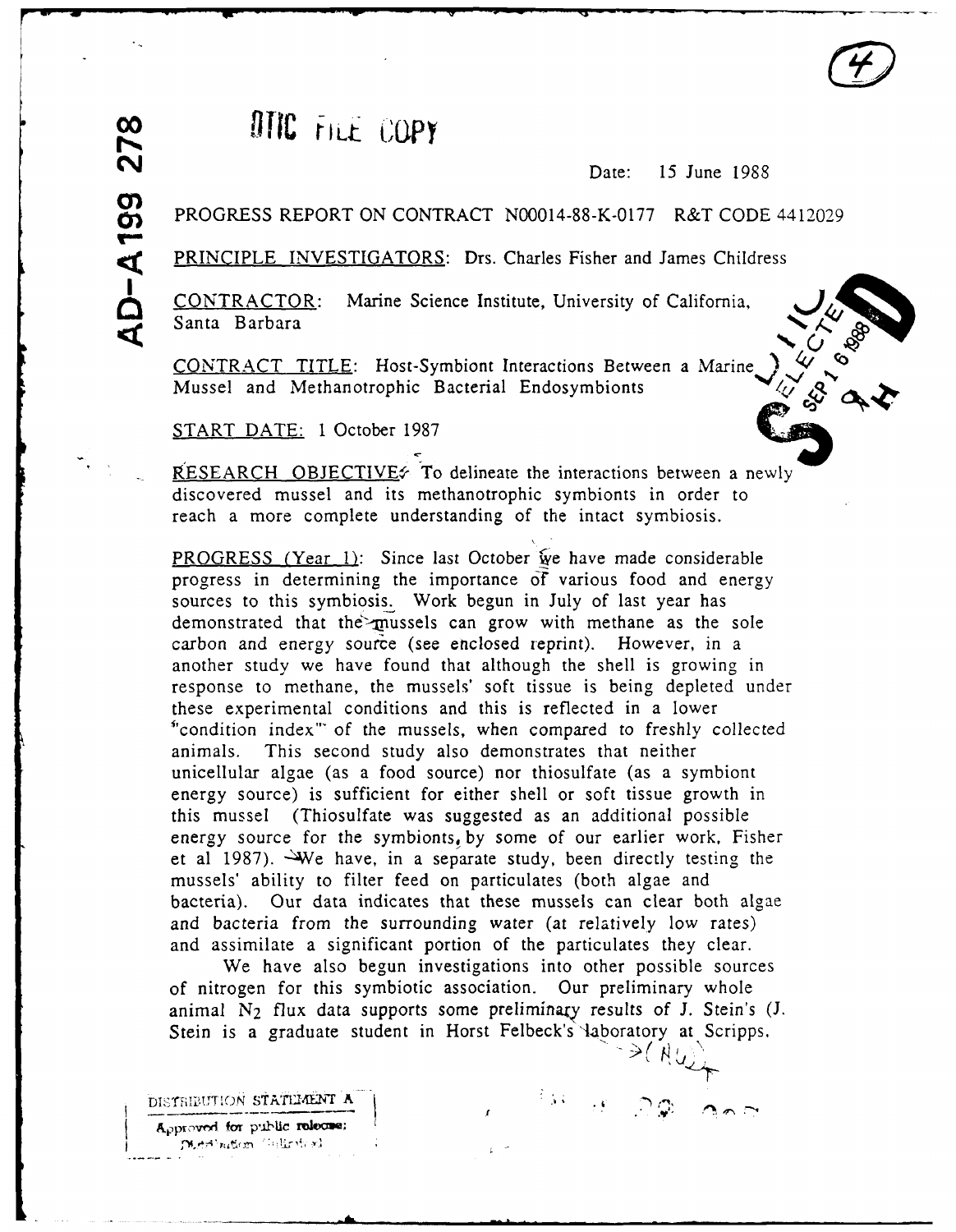# $\frac{\infty}{\infty}$  **OTIC** FILE COPY

Date: 15 June 1988

#### PROGRESS REPORT ON CONTRACT N00014-88-K-0177 R&T CODE 4412029

PRINCIPLE INVESTIGATORS: Drs. Charles Fisher and James Childress

CONTRACTOR: Marine Science Institute, University of California, **,1** Santa Barbara

CONTRACT TITLE: Host-Symbiont Interactions Between a Marine Mussel and Methanotrophic Bacterial Endosymbionts

START DATE: 1 October 1987

RESEARCH OBJECTIVE $\epsilon$  To delineate the interactions between a newly discovered mussel and its methanotrophic symbionts in order to reach a more complete understanding of the intact symbiosis.

PROGRESS (Year 1): Since last October we have made considerable progress in determining the importance **Cf** various food and energy sources to this symbiosis. Work begun in July of last year has demonstrated that the mussels can grow with methane as the sole carbon and energy source (see enclosed reprint). However, in a another study we have found that although the shell is growing in response to methane, the mussels' soft tissue is being depleted under these experimental conditions and this is reflected in a lower<br>"condition index" of the mussels, when compared to freshly collected animals. This second study also demonstrates that neither unicellular algae (as a food source) nor thiosulfate (as a symbiont energy source) is sufficient for either shell or soft tissue growth in this mussel (Thiosulfate was suggested as an additional possible energy source for the symbionts, by some of our earlier work, Fisher et al 1987). We have, in a separate study, been directly testing the mussels' ability to filter feed on particulates (both algae and bacteria). Our data indicates that these mussels can clear both algae and bacteria from the surrounding water (at relatively low rates) and assimilate a significant portion of the particulates they clear.

We have also begun investigations into other possible sources of nitrogen for this symbiotic association. Our preliminary whole animal  $N_2$  flux data supports some preliminary results of J. Stein's  $(J.$ Stein is a graduate student in Horst Felbeck's laboratory at Scripps,

DISTRIBUTION STATEMENT A  $\overline{ }$  $A<sub>P</sub>$ pproved for public release; Digital nation (Unliable)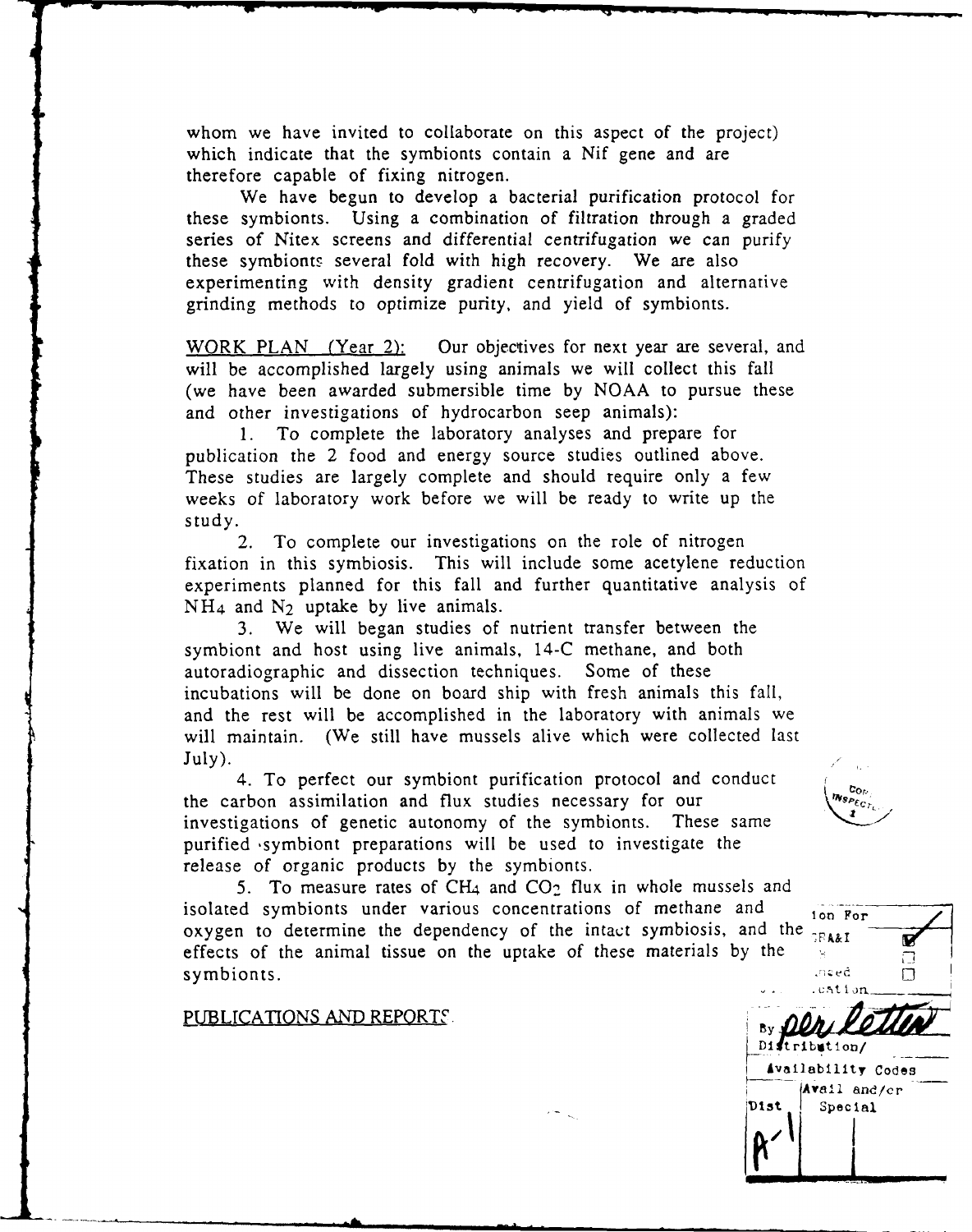whom we have invited to collaborate on this aspect of the project) which indicate that the symbionts contain a Nif gene and are therefore capable of fixing nitrogen.

We have begun to develop a bacterial purification protocol for these symbionts. Using a combination of filtration through a graded series of Nitex screens and differential centrifugation we can purify these symbionts several fold with high recovery. We are also experimenting with density gradient centrifugation and alternative grinding methods to optimize purity, and yield of symbionts.

WORK PLAN (Year 2): Our objectives for next year are several, and will be accomplished largely using animals we will collect this fall (we have been awarded submersible time by NOAA to pursue these and other investigations of hydrocarbon seep animals):

1. To complete the laboratory analyses and prepare for publication the 2 food and energy source studies outlined above. These studies are largely complete and should require only a few weeks of laboratory work before we will be ready to write up the study.

2. To complete our investigations on the role of nitrogen fixation in this symbiosis. This will include some acetylene reduction experiments planned for this fall and further quantitative analysis of  $NH<sub>4</sub>$  and  $N<sub>2</sub>$  uptake by live animals.

3. We will began studies of nutrient transfer between the symbiont and host using live animals, 14-C methane, and both autoradiographic and dissection techniques. Some of these incubations will be done on board ship with fresh animals this fail, and the rest will be accomplished in the laboratory with animals we will maintain. (We still have mussels alive which were collected last July).

4. To perfect our symbiont purification protocol and conduct the carbon assimilation and flux studies necessary for our investigations of genetic autonomy of the symbionts. These same investigations of genetic autonomy of the symbionts. purified symbiont preparations will be used to investigate the release of organic products by the symbionts.

5. To measure rates of CH4 and **C02** flux in whole mussels and isolated symbionts under various concentrations of methane and  $\frac{1}{100}$  For oxygen to determine the dependency of the intact symbiosis, and the effects of the animal tissue on the uptake of these materials by the symbionts. And the symbionts of the symbionts of the symbol symbol symbol symbol symbol symbol symbol symbol symbol symbol symbol symbol symbol symbol symbol symbol symbol symbol symbol symbol symbol symbol symbol symbol s

**PUBLICATIONS AND REPORTS:** 



tribution/ **Availability Codes** Avail and/cr **'Dist Special**

**GRA&I** 

Γ П П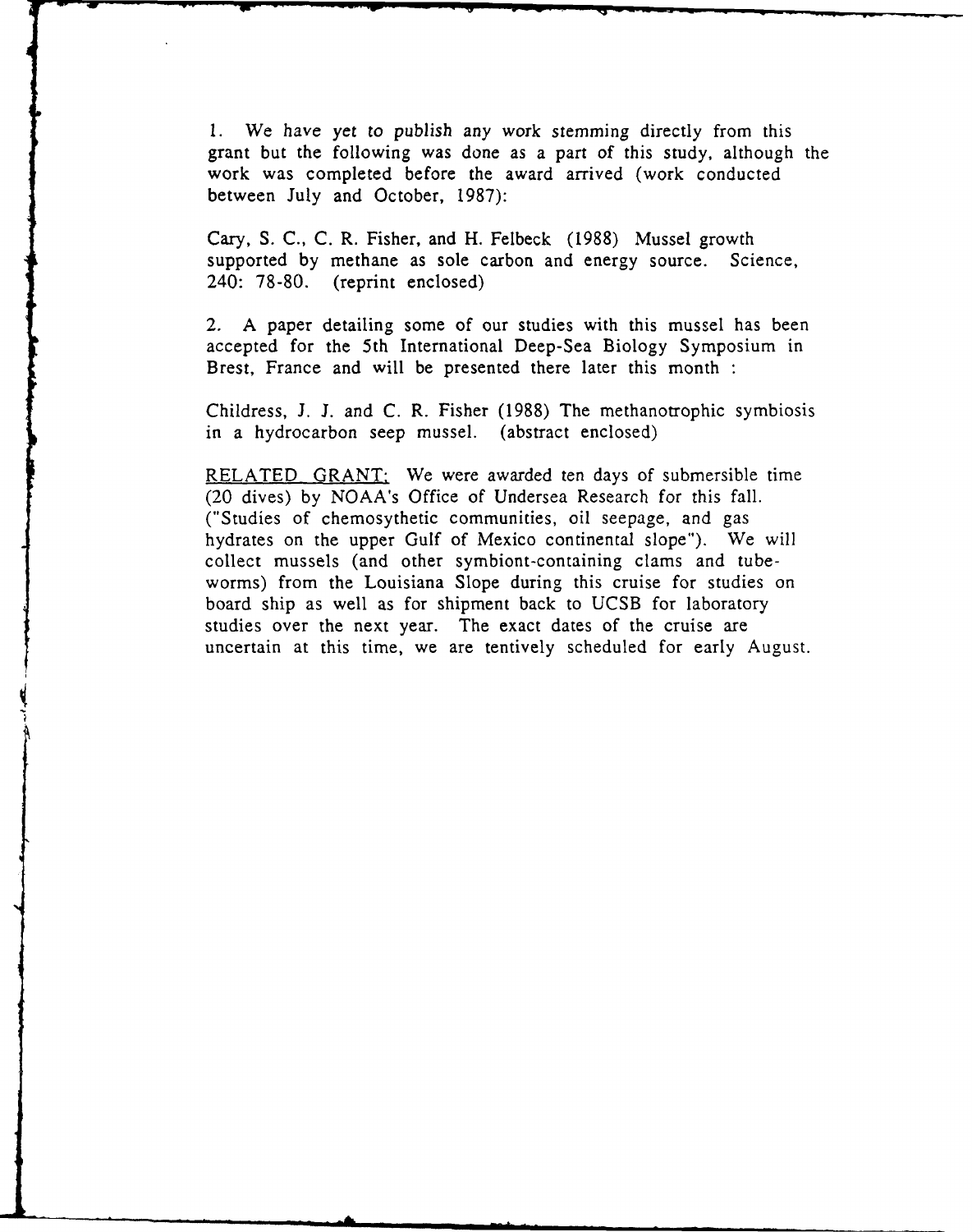1. We have yet to publish *any* work stemming directly from this grant but the following was done as a part of this study, although the work was completed before the award arrived (work conducted between July and October, 1987):

Cary, S. C., C. R. Fisher, and H. Felbeck (1988) Mussel growth supported by methane as sole carbon and energy source. Science, 240: 78-80. (reprint enclosed)

2. A paper detailing some of our studies with this mussel has been accepted for the 5th International Deep-Sea Biology Symposium in Brest, France and will be presented there later this month **:**

Childress, J. J. and C. R. Fisher (1988) The methanotrophic symbiosis in a hydrocarbon seep mussel. (abstract enclosed)

RELATED GRANT: We were awarded ten days of submersible time (20 dives) by NOAA's Office of Undersea Research for this fall. ("Studies of chemosythetic communities, oil seepage, and gas hydrates on the upper Gulf of Mexico continental slope"). We will collect mussels (and other symbiont-containing clams and tubeworms) from the Louisiana Slope during this cruise for studies on board ship as well as for shipment back to UCSB for laboratory studies over the next year. The exact dates of the cruise are uncertain at this time, we are tentively scheduled for early August.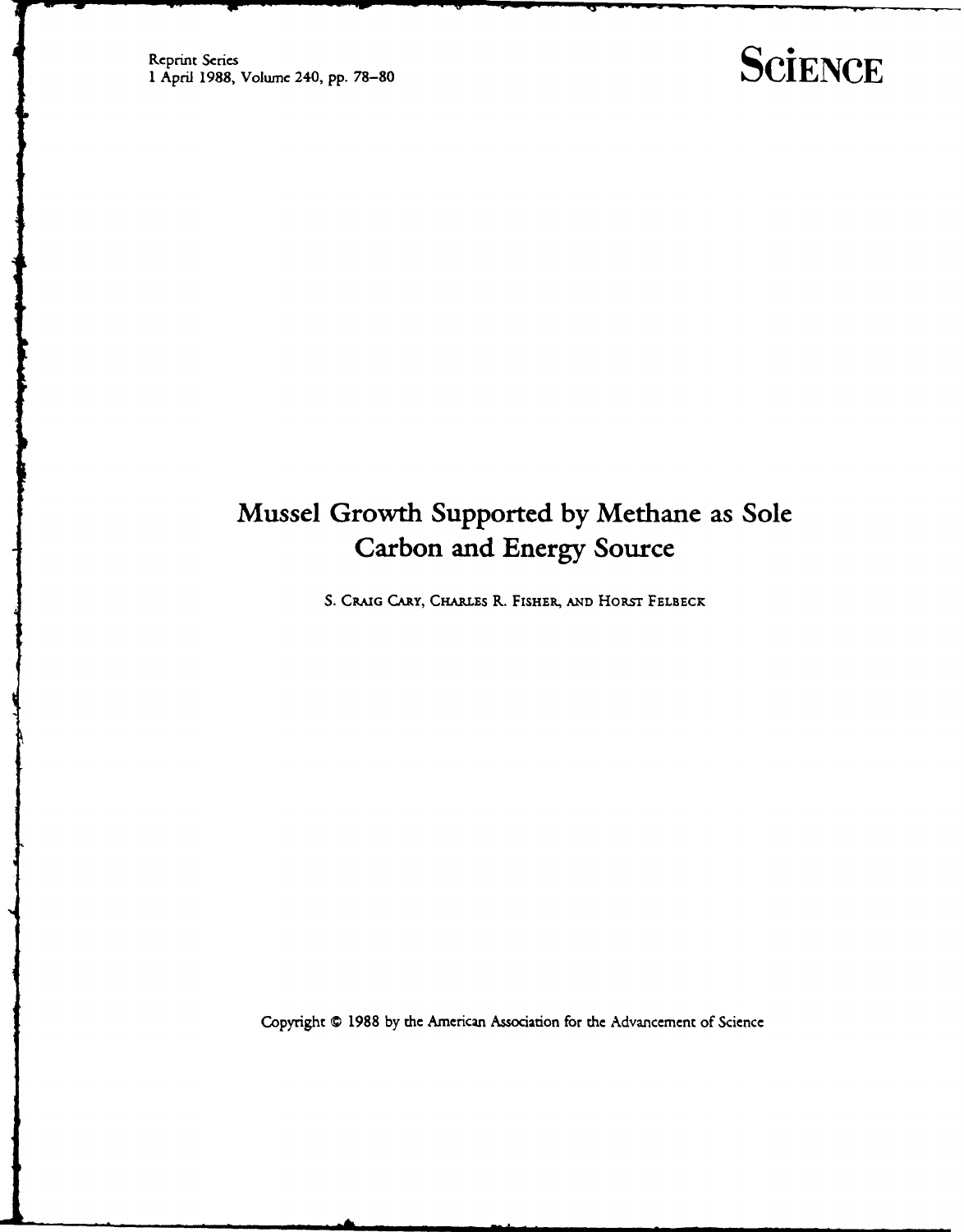## **SCİENCE**

## **Mussel Growth Supported by Methane as Sole Carbon and Energy Source**

S. CRAIG CARY, CHARLES R. FISHER, AND HORST FELBECK

Copyright © 1988 by the American Association for the Advancement of Science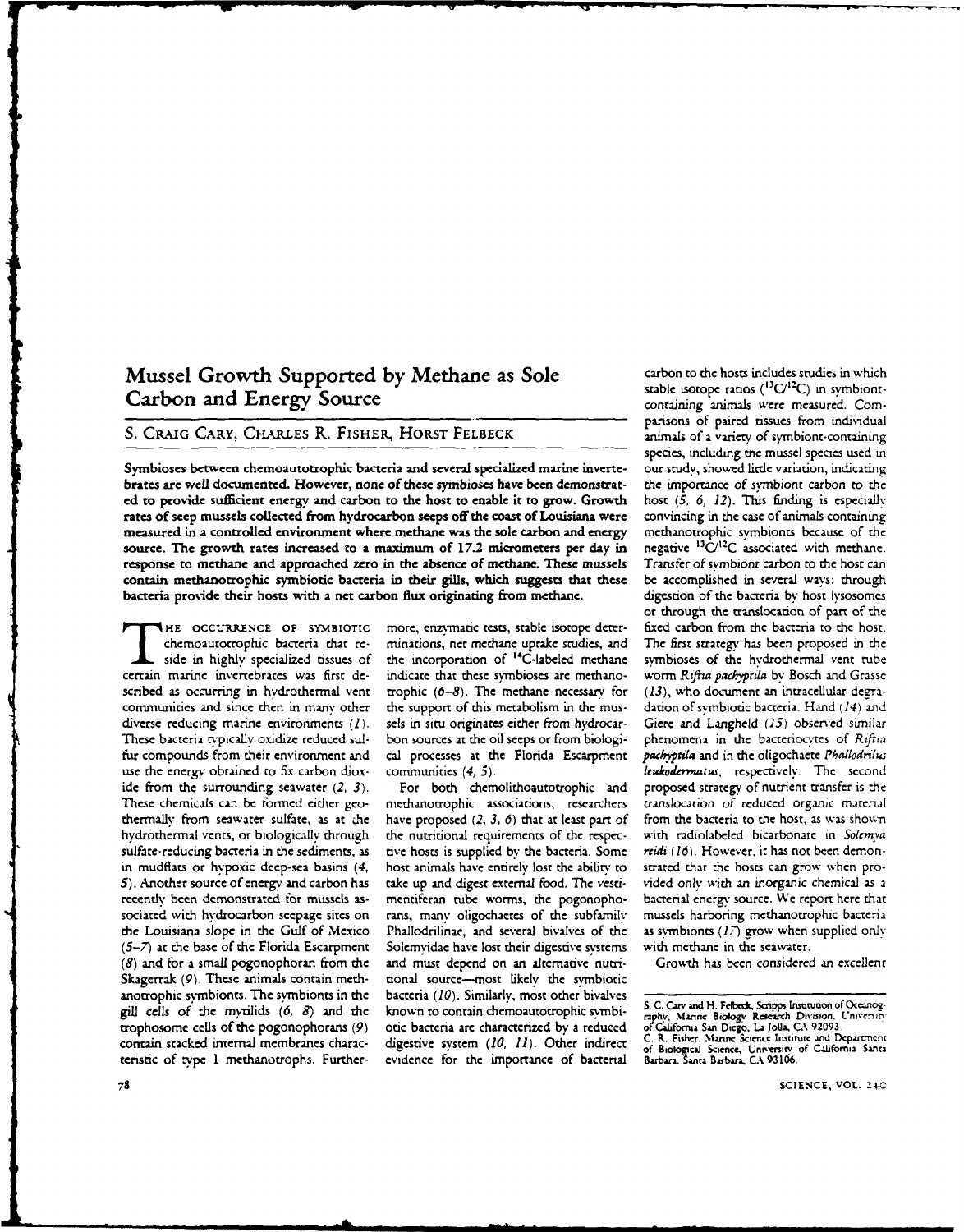#### Mussel Growth Supported by Methane as Sole carbon to the hosts includes studies in which Carbon and Energy Source containing animals were measured. Com-

#### S. CRAIG CARY, CHARLES R. FISHER, HORST FELBECK **animals of a variety of symbiont-containing**

Symbioses between chemoautotrophic bacteria and several specialized marine inverte- our study, showed little variation, indicating brates **are** well documented. However, none of these symbioses have been demonstrat- the importance of symbiont carbon to the **ed** to provide sufficient energy and carbon to the host to enable it to grow. Growth host **(5, 6,** 12). This finding is especially rates of seep mussels collected from hydrocarbon seeps off the coast of Louisiana were convincing in the case of animals containing measured in a controlled environment where methane was the sole carbon and energy methanotrophic symbionts because of the source. The growth rates increased to a maximum of 17.2 micrometers per day in negative <sup>13</sup>C/<sup>12</sup>C source. The growth rates increased to a maximum of 17.2 micrometers per day in response to methane and approached zero in the absence of methane. These mussels Transfer of symbiont carbon to the host can contain methanotrophic symbiotic bacteria in their gills, which suggests that these be accomplished in several ways: through bacteria provide their hosts with a net carbon flux originating from methane. digestion of the bacteria **by** host lysosomes

certain marine invertebrates was first de- indicate that these symbioses are methano- worm *Rftia paciyprda* by Bosch and Grasse scribed as occurring in hydrothermal vent trophic (6-8). The methane necessary for (13), who document an intracellular degracommunities and since then in many other the support of this metabolism in the mus- dation of symbiotic bacteria. Hand *(14) and* diverse reducing marine environments (1). sels in situ originates either from hydrocar- Giere and Langheld *(15)* observed similar These bacteria typically oxidize reduced sul- bon sources at the oil seeps or from biologi- phenomena in the baceriocytes of *Rif za* fur compounds from their environment and cal processes at the Florida Escarpment *pachyptila* and in the oligochaete *Phallodrilus* use the energy obtained to fix carbon diox- communities (4, 5). *leukodermatus, respectively*. The second ide from the surrounding seawater *(2, 3).* For both chemolithoautotrophic and proposed strategy of nutrient transfer is the These chemicals can be formed either geo- methanotrophic associations, researchers ranslocation of reduced organic material thermally from seawater sulfate, as at .he have proposed *(2, 3, 6)* that at least part of from the bacteria to the host, as was shown hydrothermal vents, or biologically through the nutritional requirements of the respec- with radiolabeled bicarbonate in *Solemya* sulfate-reducing bacteria in the sediments, as tive hosts is supplied by the bacteria. Some *reidi (16).* However, it has not been demonin mudflats or hypoxic deep-sea basins (4, host animals have entirely lost the ability to strated that the hosts can grow when pro-**5).** Another source of energy and carbon has take up and digest external food. The vesri- vided only with an inorganic chemical as a recently been demonstrated for mussels as- meniferan tube worms, the pogonopho- bacterial energy source. We report here that sociated with hydrocarbon seepage sites on rans, man' oligochacetes of the subfamily mussels harboring methanotrophic baceenia the Louisiana slope in the Gulf of Mexico Phallodrilinae, and several bivalves of the as svmbionts *(17)* grow when supplied only *(5-7)* at the base of the Florida Escarpment Solemyidae have lost their digestive systems with methane in the seawater. *(8)* and for a small pogonophoran from the and must depend on an alternative nutri- Growth has been considered an excellent Skagerrak (9). These animals contain meth- tional source-most likely the symbiotic anotrophic symbionts. The symbionts in the bacteria *(10).* Similarly, most other bivalves gill cells of the mytilids (6, 8) and the known to contain chemoautotrophic symbi-<br>trophosome cells of the pogonophorans (9) otic bacteria are characterized by a reduced of California San Diego, La Jolla, CA 92093. gill cells of the mytilids (6, 8) and the known to contain chemoautotrophic symbi-<br>trophosome cells of the pogonophorans (9) otic bacteria are characterized by a reduced of Cultomia San Diego, La Jolla, CA 92093.<br>contain s teristic of type 1 methanotrophs. Further- evidence for the importance of bacterial

chemoautorrophic bacteria that *re-* minations, net methane uptake studies, and The first strategy has been proposed in the side in highly specialized tissues of the incorporation of "'C-labeled methane symbioses of the hydrothermal vent tube

stable isotope ratios  $(^{13}C/^{12}C)$  in symbiontparisons of paired tissues from individual species, including **me** mussel species used in or through the translocation of part of the **HE OCCURRENCE** OF sYMsrOrIc more, enzymatic tests, stable isotope deter- fixed carbon from the bacteria to the host.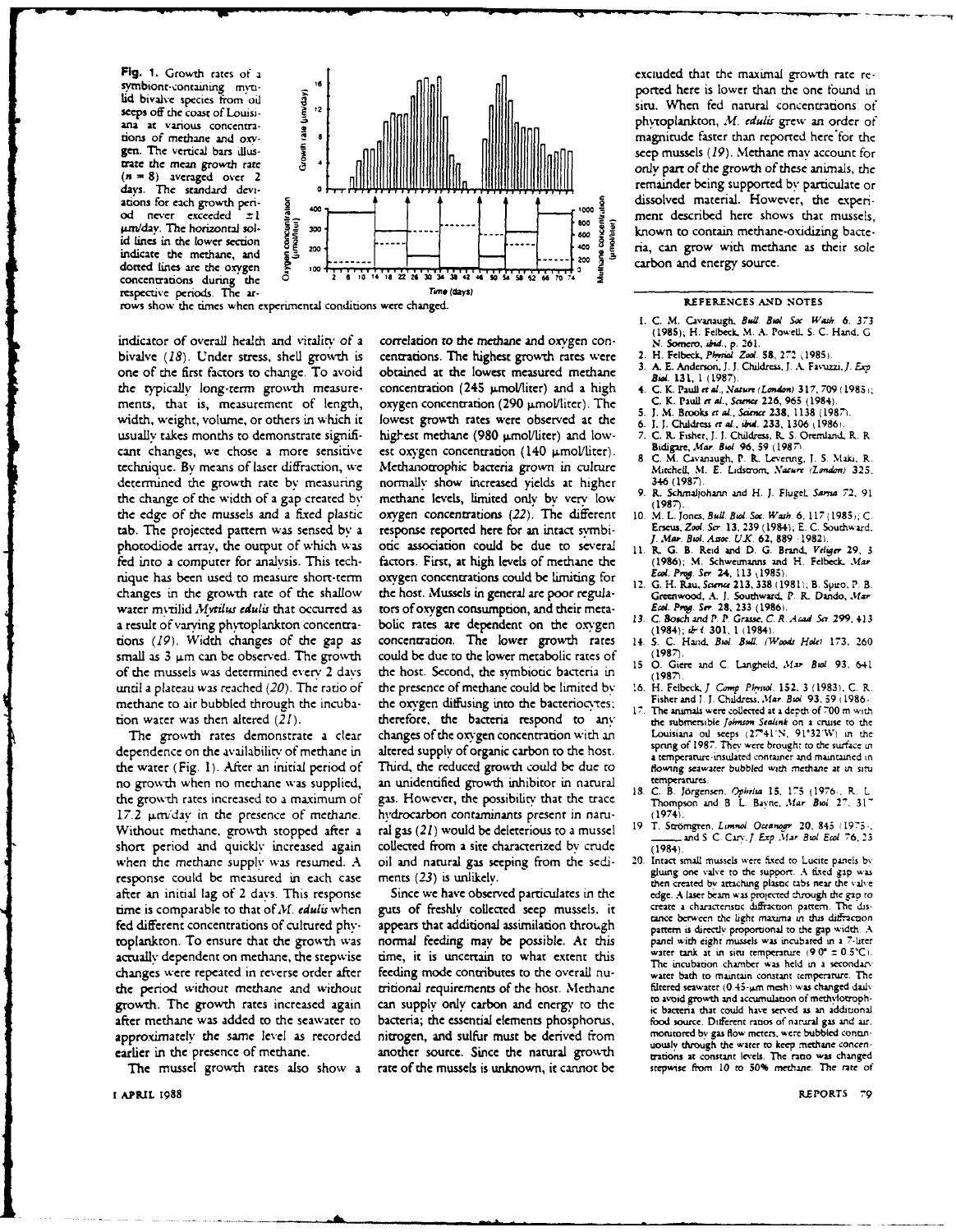Fig. 1. Growth rates of a symbiont-containing mytilid bivalve species from oil sceps off the coast of Louisiana at various concentrations of methane and oxygen. The vertical bars illustrate the mean growth rate  $(n = 8)$  averaged over 2 days. The standard deviations for each growth penod never exceeded ±1 um/day. The horizontal solid lines in the lower section indicate the methane, and dotted lines are the oxygen concentrations during the<br>respective periods. The ar-



rows show the times when experimental conditions were changed.

indicator of overall health and vitality of a bivalve (18). Under stress, shell growth is one of the first factors to change. To avoid the typically long-term growth measurements, that is, measurement of length, width, weight, volume, or others in which it usually takes months to demonstrate significant changes, we chose a more sensitive technique. By means of laser diffraction, we determined the growth rate by measuring the change of the width of a gap created by the edge of the mussels and a fixed plastic tab. The projected pattern was sensed by a photodiode array, the output of which was fed into a computer for analysis. This technique has been used to measure short-term changes in the growth rate of the shallow water mytilid Mytilus edulis that occurred as a result of varying phytoplankton concentrations (19). Width changes of the gap as small as  $3 \mu m$  can be observed. The growth of the mussels was determined every 2 days until a plateau was reached  $(20)$ . The ratio of methane to air bubbled through the incubation water was then altered (21).

The growth rates demonstrate a clear dependence on the availability of methane in the water (Fig. 1). After an initial period of no growth when no methane was supplied, the growth rates increased to a maximum of 17.2 unvday in the presence of methane. Without methane, growth stopped after a short period and quickly increased again when the methane supply was resumed. A response could be measured in each case after an initial lag of 2 days. This response time is comparable to that of  $M$ . edulis when fed different concentrations of cultured phyroplankton. To ensure that the growth was actually dependent on methane, the stepwise changes were repeated in reverse order after the period without methane and without growth. The growth rates increased again after methane was added to the seawater to approximately the same level as recorded earlier in the presence of methane.

The mussel growth rates also show a

I APRIL 1988

correlation to the methane and oxygen concentrations. The highest growth rates were obtained at the lowest measured methane concentration (245 umol/liter) and a high oxygen concentration (290 µmol/liter). The lowest growth rates were observed at the highest methane (980 umol/liter) and lowest oxygen concentration (140 µmol/liter). Methanotrophic bacteria grown in culture normally show increased yields at higher methane levels, limited only by very low oxygen concentrations (22). The different response reported here for an intact symbiotic association could be due to several factors. First, at high levels of methane the oxygen concentrations could be limiting for the host. Mussels in general are poor regulators of oxygen consumption, and their metabolic rates are dependent on the oxygen concentration. The lower growth rates could be due to the lower metabolic rates of the host. Second, the symbiotic bacteria in the presence of methane could be limited by the oxygen diffusing into the bacteriocytes; therefore, the bacteria respond to any changes of the oxvgen concentration with an altered supply of organic carbon to the host. Third, the reduced growth could be due to an unidentified growth inhibitor in natural gas. However, the possibility that the trace hydrocarbon contaminants present in natural gas (21) would be deleterious to a mussel collected from a site characterized by crude oil and natural gas seeping from the sediments (23) is unlikely.

Since we have observed particulates in the guts of freshly collected seep mussels, it appears that additional assimilation through normal feeding may be possible. At this time, it is uncertain to what extent this feeding mode contributes to the overall nutritional requirements of the host. Methane can supply only carbon and energy to the bacteria; the essential elements phosphorus, nitrogen, and sulfur must be derived from another source. Since the natural growth rate of the mussels is unknown, it cannot be

exciuded that the maximal growth rate reported here is lower than the one found in situ. When fed natural concentrations of phytoplankton, M. edulis grew an order of magnitude faster than reported here for the seep mussels (19). Methane may account for only part of the growth of these animals, the remainder being supported by particulate or dissolved material. However, the experiment described here shows that mussels, known to contain methane-oxidizing bacteria, can grow with methane as their sole carbon and energy source.

#### REFERENCES AND NOTES

- I. C. M. Cavanaugh, Bull. Bull Soc. Wash. 6, 373 (1985); H. Felbeck, M. A. Powell, S. C. Hand, G.
- N. Somero, ibid., p. 261.<br>2. H. Felbeck, Physiol. Zool. 58, 272 (1985).
- A. E. Anderson, J. J. Childress, J. A. Favuzzi, J. Exp.  $\overline{\mathbf{3}}$ . Biol. 131, 1 (1987).
- C. K. Pauli et al., Nature (London) 317, 709 (1985); C. K. Paull et al., Science 226, 965 (1984).
- J. M. Brooks et al., Science 238, 1138 (1987).<br>J. J. Childress et al., Science 238, 1138 (1987).  $\mathbf{c}$
- 6. C. R. Fisher, J. J. Childress, R. S. Oremland, R. R.
- Bidigare, Mar. Biol. 96, 59 (1987) **g** C. M. Cavanaugh, P. R. Levering, J. S. Maki, R.
- Mitchell, M. E. Lidstrom, Nature (London) 325. 346 (1987). 9.
- R. Schmaljohann and H. J. Flügel, Sarsia 72, 91  $(1987)$ M. L. Jones, Bull. Biol. Soc. Wash. 6, 117 (1985); C. 10
- Erseus, Zool. Ser. 13, 239 (1984); E. C. Southward, J. Mar. Biol. Assoc. U.K. 62, 889 (1982).
- 11. R. G. B. Reid and D. G. Brand, Veliger 29, 3 (1986); M. Schweimanns and H. Felbeck. Mar Ecol. Prog. Ser. 24, 113 (1985).
- 12. G. H. Rau, Science 213, 338 (1981); B. Spiro, P. B. Greenwood, A. J. Southward, P. R. Dando, Mar Ecol. Prog. Ser. 28, 233 (1986)
- 13. C. Bosch and P. P. Grasse, C. R. Acad. Sc. 299, 413<br>(1984); iF (. 301, 1 (1984). S. C. Hand, Biol. Bull. (Woods Hole) 173, 260  $14.$
- $(1987)$  $15<sub>15</sub>$ O. Giere and C. Langheld, Mar. Biol. 93, 641
- $(1987)$ H. Felbeck, J. Comp. Physiol. 152, 3 (1983), C. R.  $16.$
- Fisher and J. J. Childress, Mar. Biol. 93, 59 (1986) The animals were collected at a depth of 700 m with
- the submersible Johnson Sealink on a cruise to the Louisiana oil seeps (27°41'N, 91°32'W) in the<br>spring of 1987. They were brought to the surface in a temperature insulated container and maintained in flowing seawater bubbled with methane at in situ temperatures.
- 18. C. B. Jörgensen, Ophelia 15, 175 (1976), R. L. Thompson and B. L. Bayne, Mar. Biol. 27, 317  $(1974)$
- 19 T. Strömgren, Limnol. Oceanogr 20, 845 (1975) and S. C. Cary J. Exp. Mar. Biol. Ecol. 76, 23  $(1984)$
- 20. Intact small mussels were fixed to Lucite panels by gluing one valve to the support. A fixed gap was<br>then created by attaching plastic tabs near the valve edge. A laser beam was projected through the gap to create a characteristic diffraction pattern. The distance between the light maxima in this diffraction pattern is directly proportional to the gap width. A panel with eight mussels was incubated in a 7-liter vater tank at in situ temperature  $(9.0^{\circ} \pm 0.5^{\circ} \text{C}).$ The incubation chamber was held in a secondary water bath to maintain constant temperature. The filtered seawater (0.45-um mesh) was changed daily to avoid growth and accumulation of methylotrophic bacteria that could have served as an additional food source. Different ratios of natural gas and air. monitored by gas flow meters, were bubbled contanuously through the water to keep methane concentrations at constant levels. The ratio was changed stepwise from 10 to 50% methane. The rate of

REPORTS 79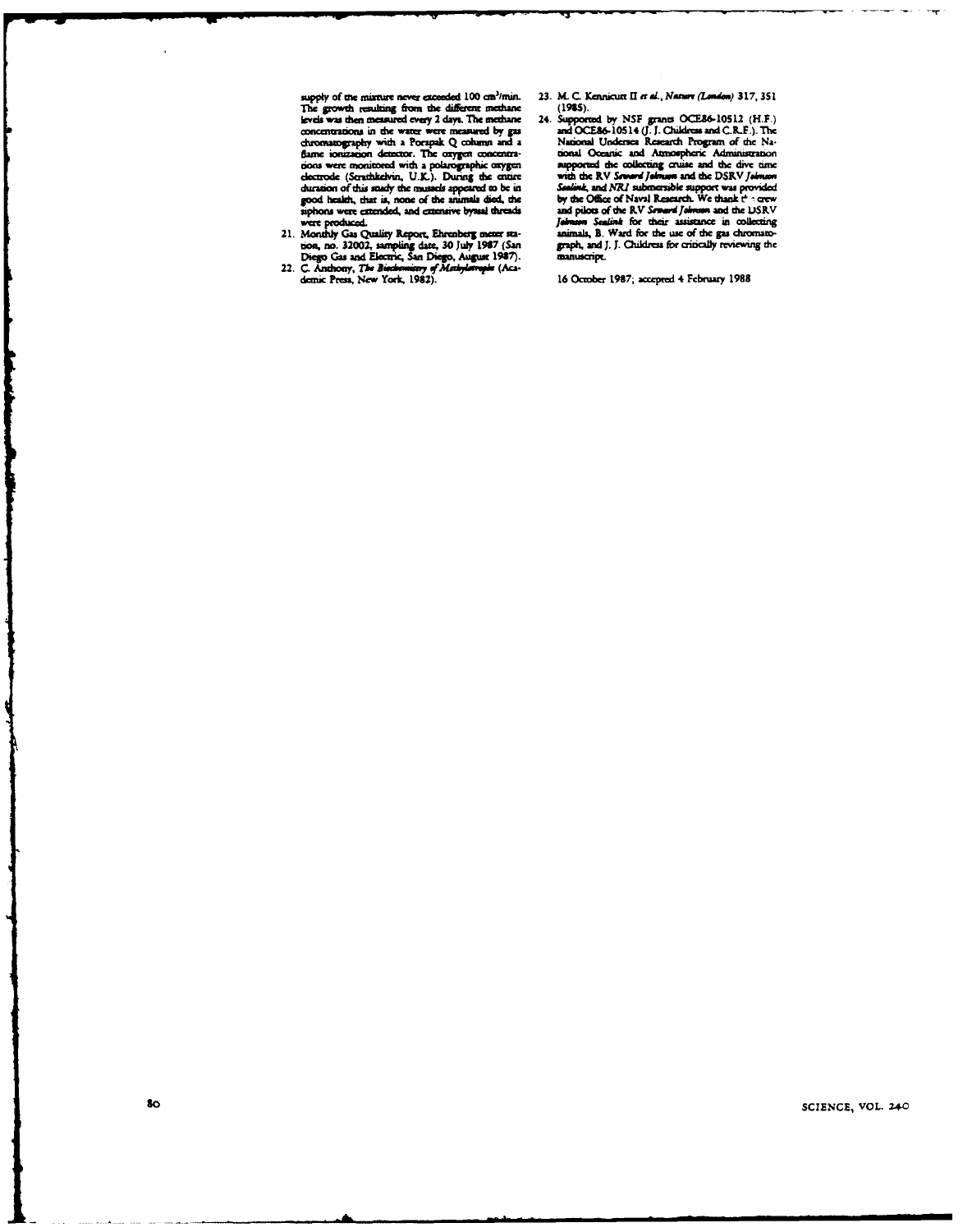supply of the mixture never exceeded  $100 \text{ cm}^3/\text{min}$ .<br>The growth resulting from the different methane levels was then measured every 2 days. The methane concentrations in the water were measured by gas chromatography with a Porapak Q column and a<br>flame ionization detector. The oxygen concentraname souzanom unitation. The dispersions and consumerions were monitored with a polarographic oxygen electrode (Strathkelvin, U.K.). During the entire duration of this study the mussels appeared to be in<br>good health, that is, none of the animals died, the<br>siphons were extended, and extensive byssal threads

- sippons were extended, and extensive byssal threads<br>were produced.<br>21. Monthly Gas Quality Report, Ehrenberg meter sta-<br>tion, no. 32002, sampling date, 30 July 1987 (San<br>Diego Gas and Electric, San Diego, August 1987).<br>22.
- 
- 23. M. C. Kennicutt II et al., Nature (London) 317, 351  $(1985)$ .
- 24. Supported by NSF grants OCE86-10512 (H.F.)<br>and OCE86-10514 (J.J. Childress and C.R.F.). The<br>National Undersea Research Program of the National Oceanic and Atmospheric Administration Lower Contact and Alemospheric Administration<br>supported the collecting cruise and the dive time<br>with the RV Sewerd Johnson and the DSRV Johnson<br>Sealind, and NRJ submersible support was provided<br>by the Office of Naval Rese Take on Scalink for their assistance in collecting<br>animals, B. Ward for the use of the gas chromato-<br>graph, and J. J. Childress for critically reviewing the manuscript.

16 October 1987; accepted 4 February 1988

SCIENCE, VOL. 240